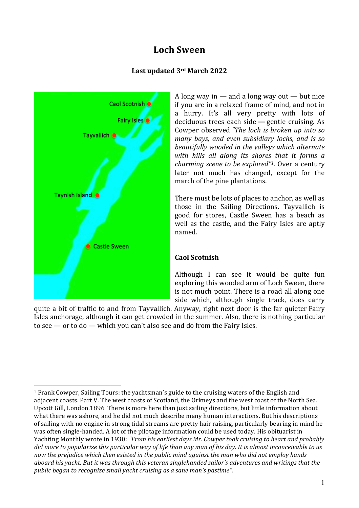# **Loch Sween**

#### **Last updated 3rd March 2022**



A long way in — and a long way out — but nice if you are in a relaxed frame of mind, and not in a hurry. It's all very pretty with lots of deciduous trees each side **—** gentle cruising. As Cowper observed *"The loch is broken up into so many bays, and even subsidiary lochs, and is so beautifully wooded in the valleys which alternate with hills all along its shores that it forms a charming scene to be explored"1*. Over a century later not much has changed, except for the march of the pine plantations.

There must be lots of places to anchor, as well as those in the Sailing Directions. Tayvallich is good for stores, Castle Sween has a beach as well as the castle, and the Fairy Isles are aptly named.

#### **Caol Scotnish**

Although I can see it would be quite fun exploring this wooded arm of Loch Sween, there is not much point. There is a road all along one side which, although single track, does carry

quite a bit of traffic to and from Tayvallich. Anyway, right next door is the far quieter Fairy Isles anchorage, although it can get crowded in the summer. Also, there is nothing particular to see — or to do — which you can't also see and do from the Fairy Isles.

 <sup>1</sup> Frank Cowper, Sailing Tours: the yachtsman's guide to the cruising waters of the English and adjacent coasts. Part V. The west coasts of Scotland, the Orkneys and the west coast of the North Sea. Upcott Gill, London.1896. There is more here than just sailing directions, but little information about what there was ashore, and he did not much describe many human interactions. But his descriptions of sailing with no engine in strong tidal streams are pretty hair raising, particularly bearing in mind he was often single-handed. A lot of the pilotage information could be used today. His obituarist in Yachting Monthly wrote in 1930: *"From his earliest days Mr. Cowper took cruising to heart and probably* did more to popularize this particular way of life than any man of his day. It is almost inconceivable to us *now the prejudice which then existed in the public mind against the man who did not employ hands aboard his yacht. But it was through this veteran singlehanded sailor's adventures and writings that the public began to recognize small yacht cruising as a sane man's pastime".*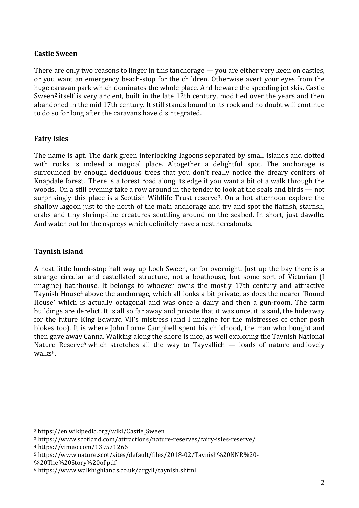### **Castle Sween**

There are only two reasons to linger in this tanchorage — you are either very keen on castles, or you want an emergency beach-stop for the children. Otherwise avert your eyes from the huge caravan park which dominates the whole place. And beware the speeding jet skis. Castle Sween**<sup>2</sup>** itself is very ancient, built in the late 12th century, modified over the years and then abandoned in the mid 17th century. It still stands bound to its rock and no doubt will continue to do so for long after the caravans have disintegrated.

## **Fairy Isles**

The name is apt. The dark green interlocking lagoons separated by small islands and dotted with rocks is indeed a magical place. Altogether a delightful spot. The anchorage is surrounded by enough deciduous trees that you don't really notice the dreary conifers of Knapdale forest. There is a forest road along its edge if you want a bit of a walk through the woods. On a still evening take a row around in the tender to look at the seals and birds — not surprisingly this place is a Scottish Wildlife Trust reserve3. On a hot afternoon explore the shallow lagoon just to the north of the main anchorage and try and spot the flatfish, starfish, crabs and tiny shrimp-like creatures scuttling around on the seabed. In short, just dawdle. And watch out for the ospreys which definitely have a nest hereabouts.

# **Taynish Island**

A neat little lunch-stop half way up Loch Sween, or for overnight. Just up the bay there is a strange circular and castellated structure, not a boathouse, but some sort of Victorian (I imagine) bathhouse. It belongs to whoever owns the mostly 17th century and attractive Taynish House**<sup>4</sup>** above the anchorage, which all looks a bit private, as does the nearer 'Round House' which is actually octagonal and was once a dairy and then a gun-room. The farm buildings are derelict. It is all so far away and private that it was once, it is said, the hideaway for the future King Edward VII's mistress (and I imagine for the mistresses of other posh blokes too). It is where John Lorne Campbell spent his childhood, the man who bought and then gave away Canna. Walking along the shore is nice, as well exploring the Taynish National Nature Reserve<sup>5</sup> which stretches all the way to Tayvallich — loads of nature and lovely walks<sup>6</sup>.

 

<sup>2</sup> https://en.wikipedia.org/wiki/Castle\_Sween

<sup>3</sup> https://www.scotland.com/attractions/nature-reserves/fairy-isles-reserve/

<sup>4</sup> https://vimeo.com/139571266

<sup>5</sup> https://www.nature.scot/sites/default/files/2018-02/Taynish%20NNR%20-

<sup>%20</sup>The%20Story%20of.pdf

<sup>6</sup> https://www.walkhighlands.co.uk/argyll/taynish.shtml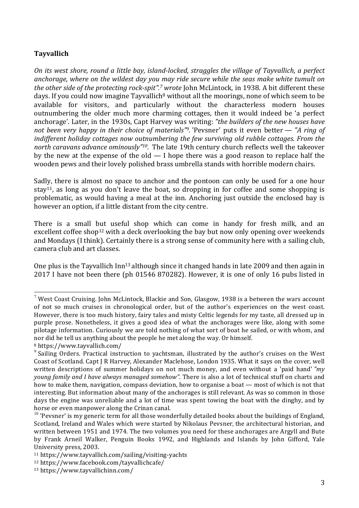### **Tayvallich**

*On its west shore, round a little bay, island-locked, straggles the village of Tayvallich, a perfect anchorage, where on the wildest day you may ride secure while the seas make white tumult on the other side of the protecting rock-spit". <sup>7</sup> wrote* John McLintock, in 1938. A bit different these days. If you could now imagine Tayvallich<sup>8</sup> without all the moorings, none of which seem to be available for visitors, and particularly without the characterless modern houses outnumbering the older much more charming cottages, then it would indeed be 'a perfect anchorage'. Later, in the 1930s, Capt Harvey was writing: *"the builders of the new houses have not been very happy in their choice of materials"9.* 'Pevsner' puts it even better *— "A ring of indifferent holiday cottages now outnumbering the few surviving old rubble cottages. From the north caravans advance ominously"10.* The late 19th century church reflects well the takeover by the new at the expense of the old — I hope there was a good reason to replace half the wooden pews and their lovely polished brass umbrella stands with horrible modern chairs.

Sadly, there is almost no space to anchor and the pontoon can only be used for a one hour stay<sup>11</sup>, as long as you don't leave the boat, so dropping in for coffee and some shopping is problematic, as would having a meal at the inn. Anchoring just outside the enclosed bay is however an option, if a little distant from the city centre.

There is a small but useful shop which can come in handy for fresh milk, and an excellent coffee shop<sup>12</sup> with a deck overlooking the bay but now only opening over weekends and Mondays (I think). Certainly there is a strong sense of community here with a sailing club, camera club and art classes.

One plus is the Tayvallich Inn<sup>13</sup> although since it changed hands in late 2009 and then again in 2017 I have not been there (ph 01546 870282). However, it is one of only 16 pubs listed in

 

 $7$  West Coast Cruising. John McLintock, Blackie and Son, Glasgow, 1938 is a between the wars account of not so much cruises in chronological order, but of the author's experiences on the west coast. However, there is too much history, fairy tales and misty Celtic legends for my taste, all dressed up in purple prose. Nonetheless, it gives a good idea of what the anchorages were like, along with some pilotage information. Curiously we are told nothing of what sort of boat he sailed, or with whom, and nor did he tell us anything about the people he met along the way. Or himself.

<sup>8</sup> https://www.tayvallich.com/

<sup>&</sup>lt;sup>9</sup> Sailing Orders. Practical instruction to yachtsman, illustrated by the author's cruises on the West Coast of Scotland. Capt J R Harvey, Alexander Maclehose, London 1935. What it says on the cover, well written descriptions of summer holidays on not much money, and even without a 'paid hand' *"my young family and I have always managed somehow"*. There is also a lot of technical stuff on charts and how to make them, navigation, compass deviation, how to organise a boat — most of which is not that interesting. But information about many of the anchorages is still relevant. As was so common in those days the engine was unreliable and a lot of time was spent towing the boat with the dinghy, and by horse or even manpower along the Crinan canal.

 $10$  'Pevsner' is my generic term for all those wonderfully detailed books about the buildings of England, Scotland, Ireland and Wales which were started by Nikolaus Pevsner, the architectural historian, and written between 1951 and 1974. The two volumes you need for these anchorages are Argyll and Bute by Frank Arneil Walker, Penguin Books 1992, and Highlands and Islands by John Gifford, Yale University press, 2003.

<sup>11</sup> https://www.tayvallich.com/sailing/visiting-yachts

<sup>12</sup> https://www.facebook.com/tayvallichcafe/

<sup>13</sup> https://www.tayvallichinn.com/